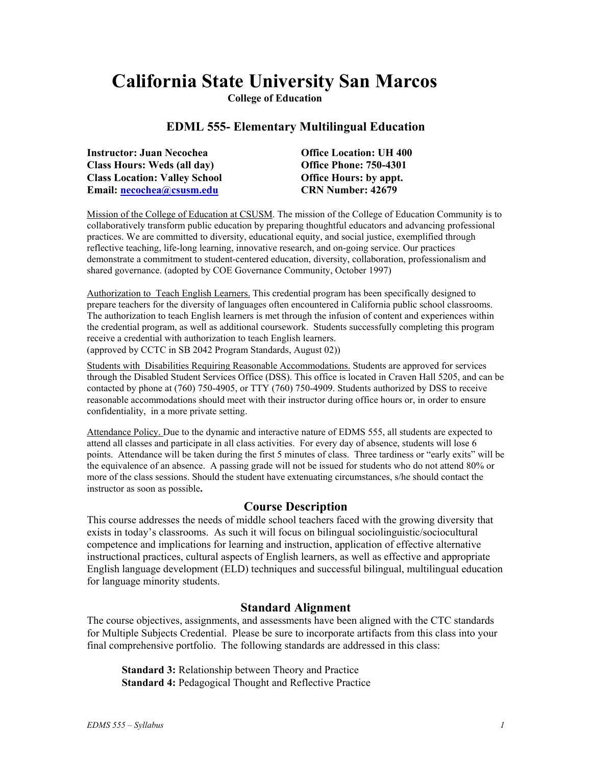# **California State University San Marcos**

**College of Education**

# **EDML 555- Elementary Multilingual Education**

| <b>Instructor: Juan Necochea</b>     | <b>Office Location: UH 400</b> |
|--------------------------------------|--------------------------------|
| <b>Class Hours: Weds (all day)</b>   | <b>Office Phone: 750-4301</b>  |
| <b>Class Location: Valley School</b> | <b>Office Hours: by appt.</b>  |
| Email: necochea@csusm.edu            | <b>CRN Number: 42679</b>       |

Mission of the College of Education at CSUSM. The mission of the College of Education Community is to collaboratively transform public education by preparing thoughtful educators and advancing professional practices. We are committed to diversity, educational equity, and social justice, exemplified through reflective teaching, life-long learning, innovative research, and on-going service. Our practices demonstrate a commitment to student-centered education, diversity, collaboration, professionalism and shared governance. (adopted by COE Governance Community, October 1997)

Authorization to Teach English Learners. This credential program has been specifically designed to prepare teachers for the diversity of languages often encountered in California public school classrooms. The authorization to teach English learners is met through the infusion of content and experiences within the credential program, as well as additional coursework. Students successfully completing this program receive a credential with authorization to teach English learners. (approved by CCTC in SB 2042 Program Standards, August 02))

Students with Disabilities Requiring Reasonable Accommodations. Students are approved for services through the Disabled Student Services Office (DSS). This office is located in Craven Hall 5205, and can be contacted by phone at (760) 750-4905, or TTY (760) 750-4909. Students authorized by DSS to receive reasonable accommodations should meet with their instructor during office hours or, in order to ensure confidentiality, in a more private setting.

Attendance Policy. Due to the dynamic and interactive nature of EDMS 555, all students are expected to attend all classes and participate in all class activities. For every day of absence, students will lose 6 points. Attendance will be taken during the first 5 minutes of class. Three tardiness or "early exits" will be the equivalence of an absence. A passing grade will not be issued for students who do not attend 80% or more of the class sessions. Should the student have extenuating circumstances, s/he should contact the instructor as soon as possible**.**

## **Course Description**

This course addresses the needs of middle school teachers faced with the growing diversity that exists in today's classrooms. As such it will focus on bilingual sociolinguistic/sociocultural competence and implications for learning and instruction, application of effective alternative instructional practices, cultural aspects of English learners, as well as effective and appropriate English language development (ELD) techniques and successful bilingual, multilingual education for language minority students.

## **Standard Alignment**

The course objectives, assignments, and assessments have been aligned with the CTC standards for Multiple Subjects Credential. Please be sure to incorporate artifacts from this class into your final comprehensive portfolio. The following standards are addressed in this class:

**Standard 3:** Relationship between Theory and Practice **Standard 4:** Pedagogical Thought and Reflective Practice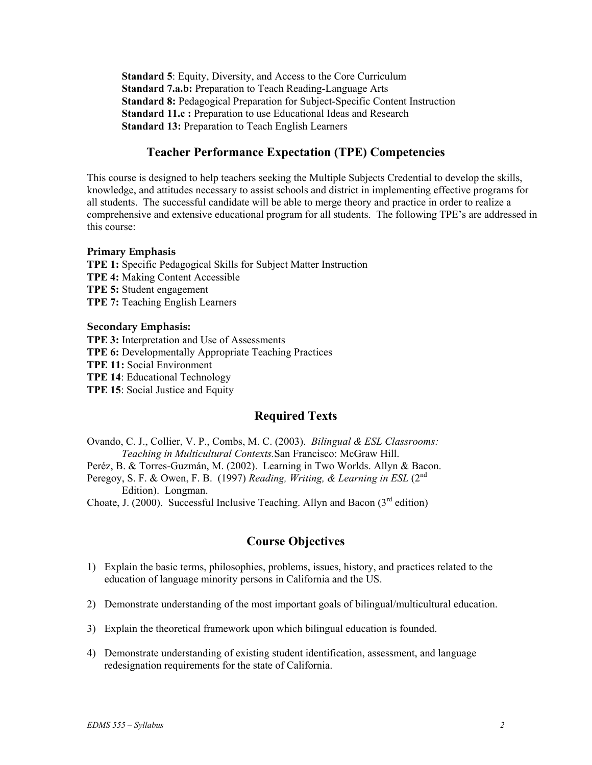**Standard 5**: Equity, Diversity, and Access to the Core Curriculum **Standard 7.a.b:** Preparation to Teach Reading-Language Arts **Standard 8:** Pedagogical Preparation for Subject-Specific Content Instruction **Standard 11.c :** Preparation to use Educational Ideas and Research **Standard 13:** Preparation to Teach English Learners

# **Teacher Performance Expectation (TPE) Competencies**

This course is designed to help teachers seeking the Multiple Subjects Credential to develop the skills, knowledge, and attitudes necessary to assist schools and district in implementing effective programs for all students. The successful candidate will be able to merge theory and practice in order to realize a comprehensive and extensive educational program for all students. The following TPE's are addressed in this course:

#### **Primary Emphasis**

**TPE 1:** Specific Pedagogical Skills for Subject Matter Instruction **TPE 4:** Making Content Accessible **TPE 5:** Student engagement **TPE 7:** Teaching English Learners

#### **Secondary Emphasis:**

**TPE 3:** Interpretation and Use of Assessments **TPE 6:** Developmentally Appropriate Teaching Practices **TPE 11:** Social Environment **TPE 14**: Educational Technology **TPE 15**: Social Justice and Equity

# **Required Texts**

Ovando, C. J., Collier, V. P., Combs, M. C. (2003). *Bilingual & ESL Classrooms: Teaching in Multicultural Contexts.*San Francisco: McGraw Hill. Peréz, B. & Torres-Guzmán, M. (2002). Learning in Two Worlds. Allyn & Bacon. Peregoy, S. F. & Owen, F. B. (1997) *Reading, Writing, & Learning in ESL* (2<sup>nd</sup>) Edition). Longman. Choate, J. (2000). Successful Inclusive Teaching. Allyn and Bacon ( $3<sup>rd</sup>$  edition)

# **Course Objectives**

- 1) Explain the basic terms, philosophies, problems, issues, history, and practices related to the education of language minority persons in California and the US.
- 2) Demonstrate understanding of the most important goals of bilingual/multicultural education.
- 3) Explain the theoretical framework upon which bilingual education is founded.
- 4) Demonstrate understanding of existing student identification, assessment, and language redesignation requirements for the state of California.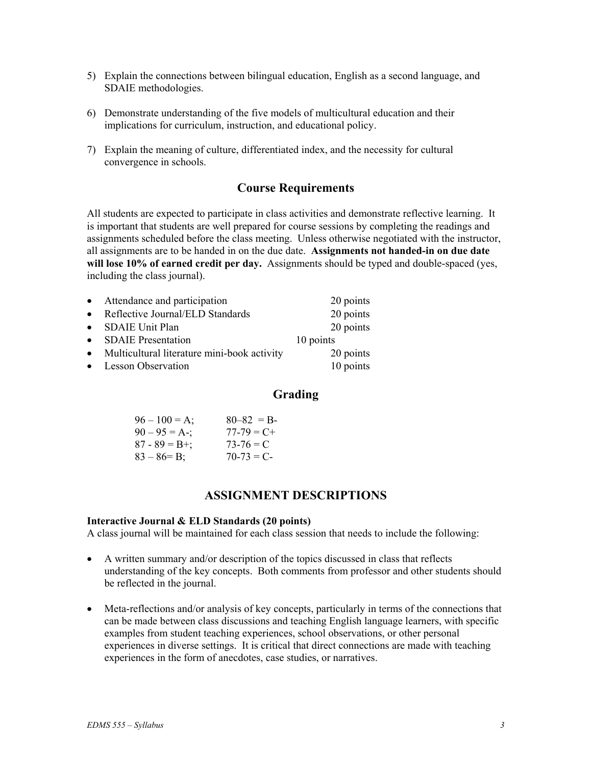- 5) Explain the connections between bilingual education, English as a second language, and SDAIE methodologies.
- 6) Demonstrate understanding of the five models of multicultural education and their implications for curriculum, instruction, and educational policy.
- 7) Explain the meaning of culture, differentiated index, and the necessity for cultural convergence in schools.

# **Course Requirements**

All students are expected to participate in class activities and demonstrate reflective learning. It is important that students are well prepared for course sessions by completing the readings and assignments scheduled before the class meeting. Unless otherwise negotiated with the instructor, all assignments are to be handed in on the due date. **Assignments not handed-in on due date will lose 10% of earned credit per day.** Assignments should be typed and double-spaced (yes, including the class journal).

| • Attendance and participation                | 20 points |
|-----------------------------------------------|-----------|
| • Reflective Journal/ELD Standards            | 20 points |
| • SDAIE Unit Plan                             | 20 points |
| • SDAIE Presentation                          | 10 points |
| • Multicultural literature mini-book activity | 20 points |
| • Lesson Observation                          | 10 points |

## **Grading**

| $96 - 100 = A$ ;    | $80 - 82 = B$   |
|---------------------|-----------------|
| $90 - 95 = A -$ ;   | $77 - 79 = C +$ |
| $87 - 89 = B^{+}$ ; | $73-76 = C$     |
| $83 - 86 = B$ ;     | $70-73 = C$     |

## **ASSIGNMENT DESCRIPTIONS**

#### **Interactive Journal & ELD Standards (20 points)**

A class journal will be maintained for each class session that needs to include the following:

- A written summary and/or description of the topics discussed in class that reflects understanding of the key concepts. Both comments from professor and other students should be reflected in the journal.
- Meta-reflections and/or analysis of key concepts, particularly in terms of the connections that can be made between class discussions and teaching English language learners, with specific examples from student teaching experiences, school observations, or other personal experiences in diverse settings. It is critical that direct connections are made with teaching experiences in the form of anecdotes, case studies, or narratives.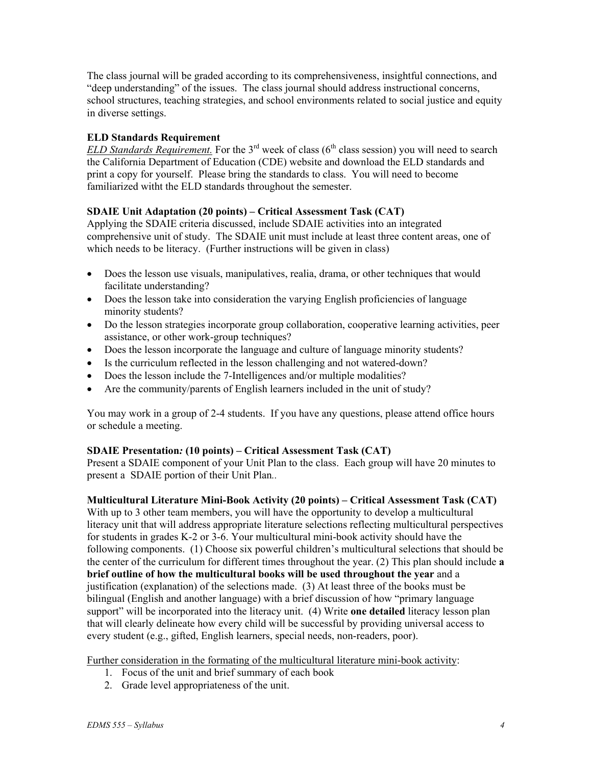The class journal will be graded according to its comprehensiveness, insightful connections, and "deep understanding" of the issues. The class journal should address instructional concerns, school structures, teaching strategies, and school environments related to social justice and equity in diverse settings.

## **ELD Standards Requirement**

*ELD Standards Requirement.* For the 3<sup>rd</sup> week of class ( $6<sup>th</sup>$  class session) you will need to search the California Department of Education (CDE) website and download the ELD standards and print a copy for yourself. Please bring the standards to class. You will need to become familiarized witht the ELD standards throughout the semester.

## **SDAIE Unit Adaptation (20 points) – Critical Assessment Task (CAT)**

Applying the SDAIE criteria discussed, include SDAIE activities into an integrated comprehensive unit of study. The SDAIE unit must include at least three content areas, one of which needs to be literacy. (Further instructions will be given in class)

- Does the lesson use visuals, manipulatives, realia, drama, or other techniques that would facilitate understanding?
- Does the lesson take into consideration the varying English proficiencies of language minority students?
- Do the lesson strategies incorporate group collaboration, cooperative learning activities, peer assistance, or other work-group techniques?
- Does the lesson incorporate the language and culture of language minority students?
- Is the curriculum reflected in the lesson challenging and not watered-down?
- Does the lesson include the 7-Intelligences and/or multiple modalities?
- Are the community/parents of English learners included in the unit of study?

You may work in a group of 2-4 students. If you have any questions, please attend office hours or schedule a meeting.

#### **SDAIE Presentation***:* **(10 points) – Critical Assessment Task (CAT)**

Present a SDAIE component of your Unit Plan to the class. Each group will have 20 minutes to present a SDAIE portion of their Unit Plan*..* 

#### **Multicultural Literature Mini-Book Activity (20 points) – Critical Assessment Task (CAT)**

With up to 3 other team members, you will have the opportunity to develop a multicultural literacy unit that will address appropriate literature selections reflecting multicultural perspectives for students in grades K-2 or 3-6. Your multicultural mini-book activity should have the following components. (1) Choose six powerful children's multicultural selections that should be the center of the curriculum for different times throughout the year. (2) This plan should include **a brief outline of how the multicultural books will be used throughout the year** and a justification (explanation) of the selections made. (3) At least three of the books must be bilingual (English and another language) with a brief discussion of how "primary language support" will be incorporated into the literacy unit. (4) Write **one detailed** literacy lesson plan that will clearly delineate how every child will be successful by providing universal access to every student (e.g., gifted, English learners, special needs, non-readers, poor).

Further consideration in the formating of the multicultural literature mini-book activity:

- 1. Focus of the unit and brief summary of each book
- 2. Grade level appropriateness of the unit.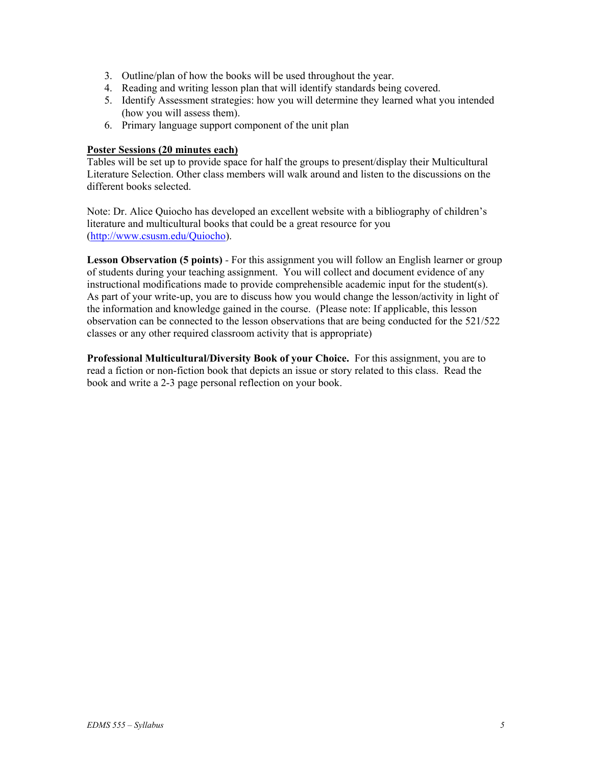- 3. Outline/plan of how the books will be used throughout the year.
- 4. Reading and writing lesson plan that will identify standards being covered.
- 5. Identify Assessment strategies: how you will determine they learned what you intended (how you will assess them).
- 6. Primary language support component of the unit plan

### **Poster Sessions (20 minutes each)**

Tables will be set up to provide space for half the groups to present/display their Multicultural Literature Selection. Other class members will walk around and listen to the discussions on the different books selected.

Note: Dr. Alice Quiocho has developed an excellent website with a bibliography of children's literature and multicultural books that could be a great resource for you (http://www.csusm.edu/Quiocho).

**Lesson Observation (5 points)** *-* For this assignment you will follow an English learner or group of students during your teaching assignment. You will collect and document evidence of any instructional modifications made to provide comprehensible academic input for the student(s). As part of your write-up, you are to discuss how you would change the lesson/activity in light of the information and knowledge gained in the course. (Please note: If applicable, this lesson observation can be connected to the lesson observations that are being conducted for the 521/522 classes or any other required classroom activity that is appropriate)

**Professional Multicultural/Diversity Book of your Choice.** For this assignment, you are to read a fiction or non-fiction book that depicts an issue or story related to this class. Read the book and write a 2-3 page personal reflection on your book.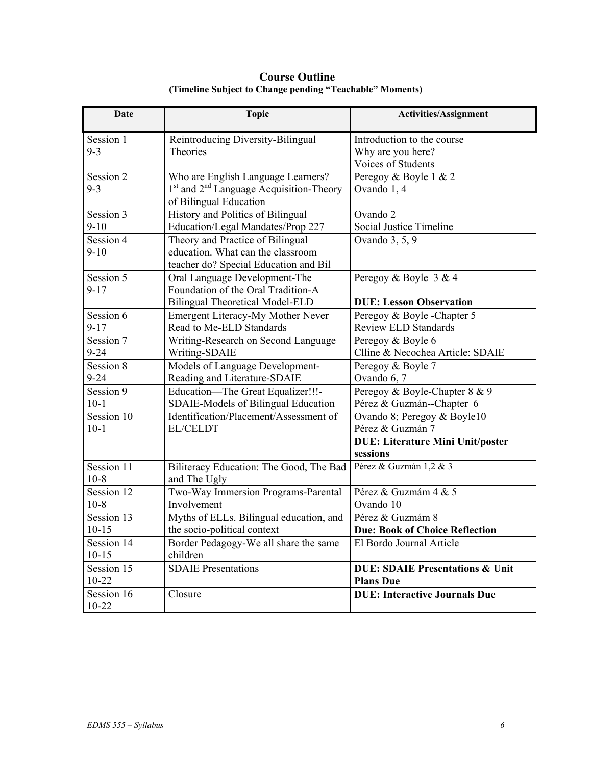| Date       | <b>Topic</b>                                | <b>Activities/Assignment</b>               |
|------------|---------------------------------------------|--------------------------------------------|
| Session 1  | Reintroducing Diversity-Bilingual           | Introduction to the course                 |
| $9 - 3$    | Theories                                    | Why are you here?                          |
|            |                                             | Voices of Students                         |
| Session 2  | Who are English Language Learners?          | Peregoy & Boyle 1 & 2                      |
| $9 - 3$    | $1st$ and $2nd$ Language Acquisition-Theory | Ovando 1, 4                                |
|            | of Bilingual Education                      |                                            |
| Session 3  | History and Politics of Bilingual           | Ovando 2                                   |
| $9 - 10$   | Education/Legal Mandates/Prop 227           | Social Justice Timeline                    |
| Session 4  | Theory and Practice of Bilingual            | Ovando 3, 5, 9                             |
| $9-10$     | education. What can the classroom           |                                            |
|            | teacher do? Special Education and Bil       |                                            |
| Session 5  | Oral Language Development-The               | Peregoy & Boyle 3 & 4                      |
| $9 - 17$   | Foundation of the Oral Tradition-A          |                                            |
|            | <b>Bilingual Theoretical Model-ELD</b>      | <b>DUE: Lesson Observation</b>             |
| Session 6  | Emergent Literacy-My Mother Never           | Peregoy & Boyle -Chapter 5                 |
| $9 - 17$   | Read to Me-ELD Standards                    | <b>Review ELD Standards</b>                |
| Session 7  | Writing-Research on Second Language         | Peregoy & Boyle 6                          |
| $9 - 24$   | Writing-SDAIE                               | Clline & Necochea Article: SDAIE           |
| Session 8  | Models of Language Development-             | Peregoy & Boyle 7                          |
| $9 - 24$   | Reading and Literature-SDAIE                | Ovando 6, 7                                |
| Session 9  | Education-The Great Equalizer!!!-           | Peregoy & Boyle-Chapter 8 & 9              |
| $10-1$     | SDAIE-Models of Bilingual Education         | Pérez & Guzmán--Chapter 6                  |
| Session 10 | Identification/Placement/Assessment of      | Ovando 8; Peregoy & Boyle10                |
| $10-1$     | <b>EL/CELDT</b>                             | Pérez & Guzmán 7                           |
|            |                                             | <b>DUE: Literature Mini Unit/poster</b>    |
|            |                                             | sessions                                   |
| Session 11 | Biliteracy Education: The Good, The Bad     | Pérez & Guzmán 1,2 & 3                     |
| $10-8$     | and The Ugly                                |                                            |
| Session 12 | Two-Way Immersion Programs-Parental         | Pérez & Guzmám 4 & 5                       |
| $10 - 8$   | Involvement                                 | Ovando 10                                  |
| Session 13 | Myths of ELLs. Bilingual education, and     | Pérez & Guzmám 8                           |
| $10 - 15$  | the socio-political context                 | <b>Due: Book of Choice Reflection</b>      |
| Session 14 | Border Pedagogy-We all share the same       | El Bordo Journal Article                   |
| $10 - 15$  | children                                    |                                            |
| Session 15 | <b>SDAIE</b> Presentations                  | <b>DUE: SDAIE Presentations &amp; Unit</b> |
| $10 - 22$  |                                             | <b>Plans Due</b>                           |
| Session 16 | Closure                                     | <b>DUE: Interactive Journals Due</b>       |
| $10 - 22$  |                                             |                                            |

 **Course Outline (Timeline Subject to Change pending "Teachable" Moments)**